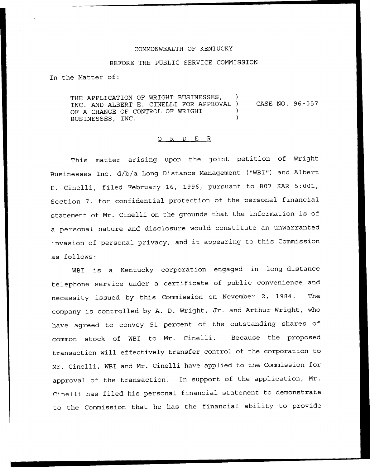## COMMONWEALTH OF KENTUCKY

## BEFORE THE PUBLIC SERVICE COMMISSION

In the Matter of:

THE APPLICATION OF WRIGHT BUSINESSES, INC. AND ALBERT E. CINELLI FOR APPROVAL ) CASE NO. 96-057 OF A CHANGE OF CONTROL OF WRIGHT BUSINESSES, INC. )

## 0 R <sup>D</sup> E R

This matter arising upon the joint petition of Wright Businesses Inc. d/b/a Long Distance Management ("WBI") and Albert E. Cinelli, filed February 16, 1996, pursuant to 807 KAR 5:001, Section 7, for confidential protection of the personal financial statement of Mr. Cinelli on the grounds that the information is of a personal nature and disclosure would constitute an unwarranted invasion of personal privacy, and it appearing to this Commission as follows:

WBI is <sup>a</sup> Kentucky corporation engaged in long-distance telephone service under <sup>a</sup> certificate of public convenience and necessity issued by this Commission on November 2, 1984. The company is controlled by A. D. Wright, Jr. and Arthur Wright, who have agreed to convey 51 percent of the outstanding shares of common stock of WBI to Mr. Cinelli. Because the proposed transaction will effectively transfer control of the corporation to Mr. Cinelli, WBI and Mr. Cinelli have applied to the Commission for approval of the transaction. In support of the application, Mr. Cinelli has filed his personal financial statement to demonstrate to the Commission that he has the financial ability to provide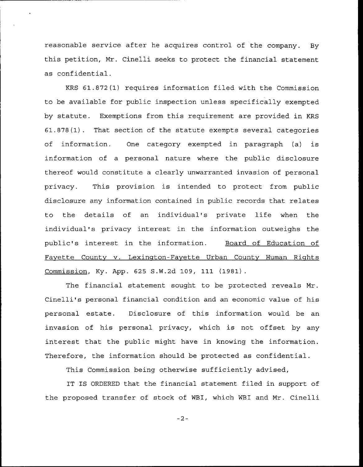reasonable service after he acquires control of the company. By this petition, Mr. Cinelli seeks to protect the financial statement as confidential.

KRS 61.872(1) requires information filed with the Commission to be available for public inspection unless specifically exempted by statute. Exemptions from this requirement are provided in KRS 61.878(1). That section of the statute exempts several categories of information. One category exempted in paragraph (a) is information of a personal nature where the public disclosure thereof would constitute a clearly unwarranted invasion of personal privacy. This provision is intended to protect from public disclosure any information contained in public records that relates to the details of an individual's private life when the individual's privacy interest in the information outweighs the public's interest in the information. Board of Education of Fayette County v. Lexington-Fayette Urban County Human Rights Commission, Ky. App. 625 S.W.2d 109, 111 (1981).

The financial statement sought to be protected reveals Mr. Cinelli's personal financial condition and an economic value of his personal estate. Disclosure of this information would be an invasion of his personal privacy, which is not offset by any interest that the public might have in knowing the information. Therefore, the information should be protected as confidential.

This Commission being otherwise sufficiently advised,

IT IS ORDERED that the financial statement filed in support of the proposed transfer of stock of WBI, which WBI and Mr. Cinelli

 $-2-$